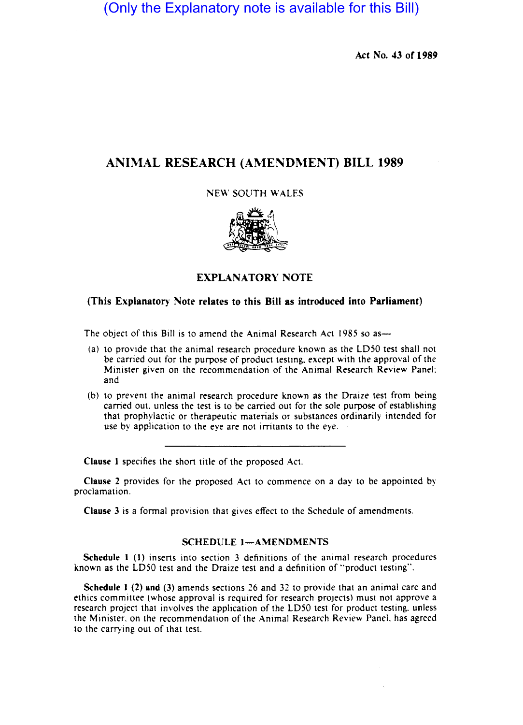(Only the Explanatory note is available for this Bill)

Act No. 43 of 1989

## ANIMAL RESEARCH (AMENDMENT) BILL 1989

NEW SOUTH WALES



## EXPLANATORY NOTE

## (This Explanatory Note relates to this Bill as introduced into Parliament)

The object of this Bill is to amend the Animal Research Act 1985 so as-

- (a) to provide that the animal research procedure known as the LD50 test shall not be carried out for the purpose of product testing. except with the approval of the Minister given on the recommendation of the Animal Research Review Panel: and
- (b) to prevent the animal research procedure known as the Draize test from being carried out. unless the test is to be carried out for the sole purpose of establishing that prophylactic or therapeutic materials or substances ordinarily intended for use by application to the eye are not irritants to the eye.

Clause I specifies the shon title of the proposed Act.

Clause 2 provides for the proposed Act to commence on a day to be appointed by proclamation.

Clause 3 is a formal provision that gives effect to the Schedule of amendments.

## SCHEDULE 1-AMENDMENTS

Schedule 1 (1) inserts into section 3 definitions of the animal research procedures known as the LD50 test and the Draize test and a definition of "product testing",

Schedule I (2) and (3) amends sections 26 and 32 to provide that an animal care and ethics committee (whose approval is required for research projects) must not approve a research project that involves the application of the LD50 test for product testing. unless the Minister. on the recommendation of the Animal Research Review Panel. has agreed to the carrying out of that test.